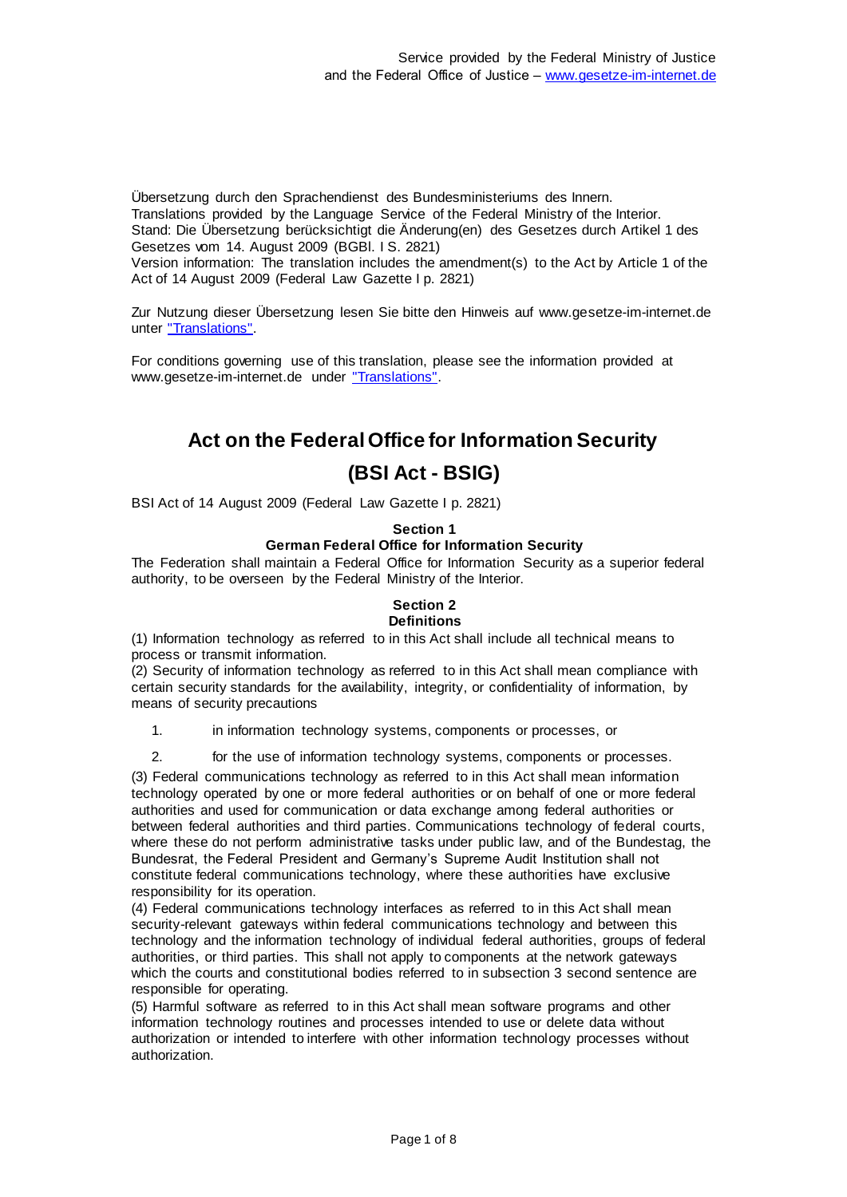Übersetzung durch den Sprachendienst des Bundesministeriums des Innern. Translations provided by the Language Service of the Federal Ministry of the Interior. Stand: Die Übersetzung berücksichtigt die Änderung(en) des Gesetzes durch Artikel 1 des Gesetzes vom 14. August 2009 (BGBl. I S. 2821)

Version information: The translation includes the amendment(s) to the Act by Article 1 of the Act of 14 August 2009 (Federal Law Gazette I p. 2821)

Zur Nutzung dieser Übersetzung lesen Sie bitte den Hinweis auf www.gesetze-im-internet.de unter ["Translations".](https://www.gesetze-im-internet.de/Teilliste_translations.html)

For conditions governing use of this translation, please see the information provided at www.gesetze-im-internet.de under ["Translations".](https://www.gesetze-im-internet.de/Teilliste_translations.html)

## **Act on the Federal Office for Information Security**

## **(BSI Act - BSIG)**

BSI Act of 14 August 2009 (Federal Law Gazette I p. 2821)

## **Section 1**

## **German Federal Office for Information Security**

The Federation shall maintain a Federal Office for Information Security as a superior federal authority, to be overseen by the Federal Ministry of the Interior.

## **Section 2**

## **Definitions**

(1) Information technology as referred to in this Act shall include all technical means to process or transmit information.

(2) Security of information technology as referred to in this Act shall mean compliance with certain security standards for the availability, integrity, or confidentiality of information, by means of security precautions

1. in information technology systems, components or processes, or

2. for the use of information technology systems, components or processes.

(3) Federal communications technology as referred to in this Act shall mean information technology operated by one or more federal authorities or on behalf of one or more federal authorities and used for communication or data exchange among federal authorities or between federal authorities and third parties. Communications technology of federal courts, where these do not perform administrative tasks under public law, and of the Bundestag, the Bundesrat, the Federal President and Germany's Supreme Audit Institution shall not constitute federal communications technology, where these authorities have exclusive responsibility for its operation.

(4) Federal communications technology interfaces as referred to in this Act shall mean security-relevant gateways within federal communications technology and between this technology and the information technology of individual federal authorities, groups of federal authorities, or third parties. This shall not apply to components at the network gateways which the courts and constitutional bodies referred to in subsection 3 second sentence are responsible for operating.

(5) Harmful software as referred to in this Act shall mean software programs and other information technology routines and processes intended to use or delete data without authorization or intended to interfere with other information technology processes without authorization.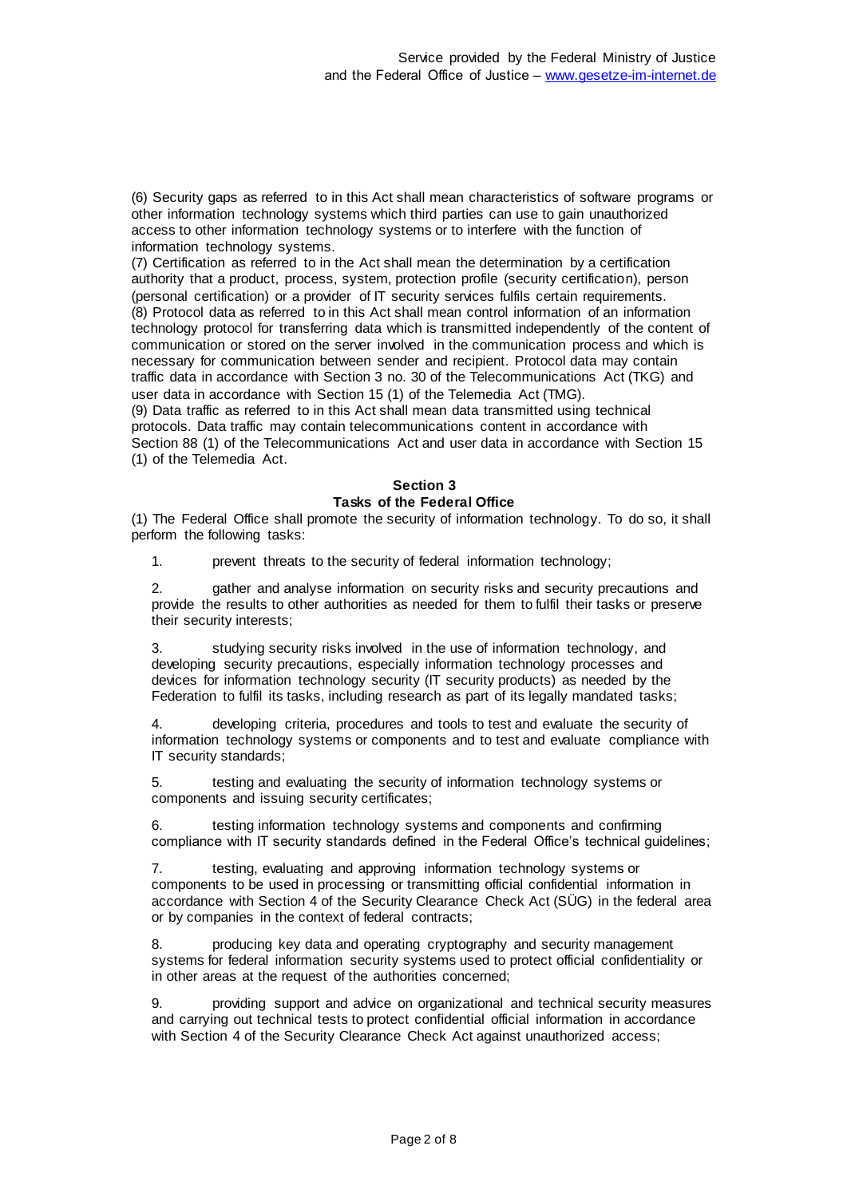(6) Security gaps as referred to in this Act shall mean characteristics of software programs or other information technology systems which third parties can use to gain unauthorized access to other information technology systems or to interfere with the function of information technology systems.

(7) Certification as referred to in the Act shall mean the determination by a certification authority that a product, process, system, protection profile (security certification), person (personal certification) or a provider of IT security services fulfils certain requirements. (8) Protocol data as referred to in this Act shall mean control information of an information technology protocol for transferring data which is transmitted independently of the content of communication or stored on the server involved in the communication process and which is necessary for communication between sender and recipient. Protocol data may contain traffic data in accordance with Section 3 no. 30 of the Telecommunications Act (TKG) and user data in accordance with Section 15 (1) of the Telemedia Act (TMG). (9) Data traffic as referred to in this Act shall mean data transmitted using technical protocols. Data traffic may contain telecommunications content in accordance with Section 88 (1) of the Telecommunications Act and user data in accordance with Section 15 (1) of the Telemedia Act.

## **Section 3 Tasks of the Federal Office**

(1) The Federal Office shall promote the security of information technology. To do so, it shall perform the following tasks:

1. prevent threats to the security of federal information technology;

2. gather and analyse information on security risks and security precautions and provide the results to other authorities as needed for them to fulfil their tasks or preserve their security interests;

3. studying security risks involved in the use of information technology, and developing security precautions, especially information technology processes and devices for information technology security (IT security products) as needed by the Federation to fulfil its tasks, including research as part of its legally mandated tasks;

4. developing criteria, procedures and tools to test and evaluate the security of information technology systems or components and to test and evaluate compliance with IT security standards;

5. testing and evaluating the security of information technology systems or components and issuing security certificates;

6. testing information technology systems and components and confirming compliance with IT security standards defined in the Federal Office's technical guidelines;

7. testing, evaluating and approving information technology systems or components to be used in processing or transmitting official confidential information in accordance with Section 4 of the Security Clearance Check Act (SÜG) in the federal area or by companies in the context of federal contracts;

8. producing key data and operating cryptography and security management systems for federal information security systems used to protect official confidentiality or in other areas at the request of the authorities concerned;

9. providing support and advice on organizational and technical security measures and carrying out technical tests to protect confidential official information in accordance with Section 4 of the Security Clearance Check Act against unauthorized access;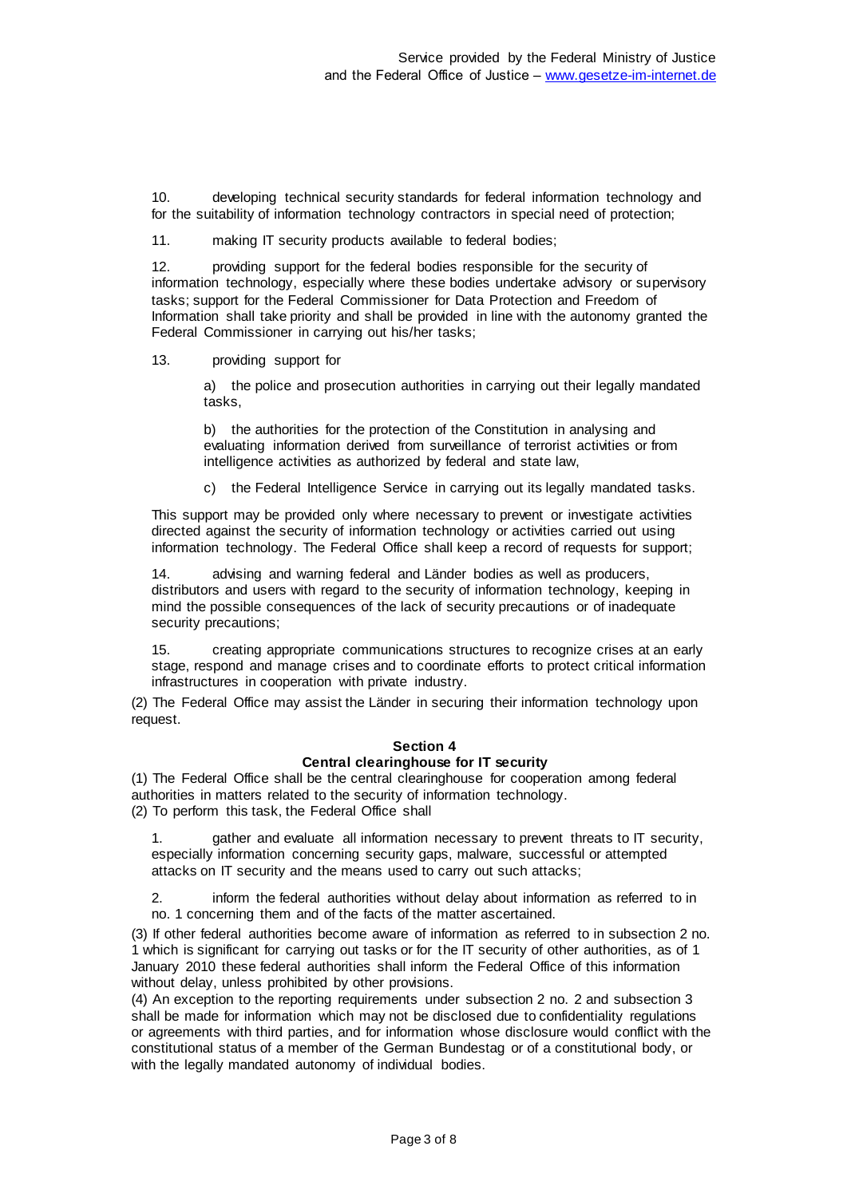10. developing technical security standards for federal information technology and for the suitability of information technology contractors in special need of protection;

11. making IT security products available to federal bodies;

12. providing support for the federal bodies responsible for the security of information technology, especially where these bodies undertake advisory or supervisory tasks; support for the Federal Commissioner for Data Protection and Freedom of Information shall take priority and shall be provided in line with the autonomy granted the Federal Commissioner in carrying out his/her tasks;

13. providing support for

a) the police and prosecution authorities in carrying out their legally mandated tasks,

b) the authorities for the protection of the Constitution in analysing and evaluating information derived from surveillance of terrorist activities or from intelligence activities as authorized by federal and state law,

c) the Federal Intelligence Service in carrying out its legally mandated tasks.

This support may be provided only where necessary to prevent or investigate activities directed against the security of information technology or activities carried out using information technology. The Federal Office shall keep a record of requests for support;

14. advising and warning federal and Länder bodies as well as producers, distributors and users with regard to the security of information technology, keeping in mind the possible consequences of the lack of security precautions or of inadequate security precautions;

15. creating appropriate communications structures to recognize crises at an early stage, respond and manage crises and to coordinate efforts to protect critical information infrastructures in cooperation with private industry.

(2) The Federal Office may assist the Länder in securing their information technology upon request.

## **Section 4**

## **Central clearinghouse for IT security**

(1) The Federal Office shall be the central clearinghouse for cooperation among federal authorities in matters related to the security of information technology. (2) To perform this task, the Federal Office shall

1. gather and evaluate all information necessary to prevent threats to IT security, especially information concerning security gaps, malware, successful or attempted attacks on IT security and the means used to carry out such attacks;

2. inform the federal authorities without delay about information as referred to in no. 1 concerning them and of the facts of the matter ascertained.

(3) If other federal authorities become aware of information as referred to in subsection 2 no. 1 which is significant for carrying out tasks or for the IT security of other authorities, as of 1 January 2010 these federal authorities shall inform the Federal Office of this information without delay, unless prohibited by other provisions.

(4) An exception to the reporting requirements under subsection 2 no. 2 and subsection 3 shall be made for information which may not be disclosed due to confidentiality regulations or agreements with third parties, and for information whose disclosure would conflict with the constitutional status of a member of the German Bundestag or of a constitutional body, or with the legally mandated autonomy of individual bodies.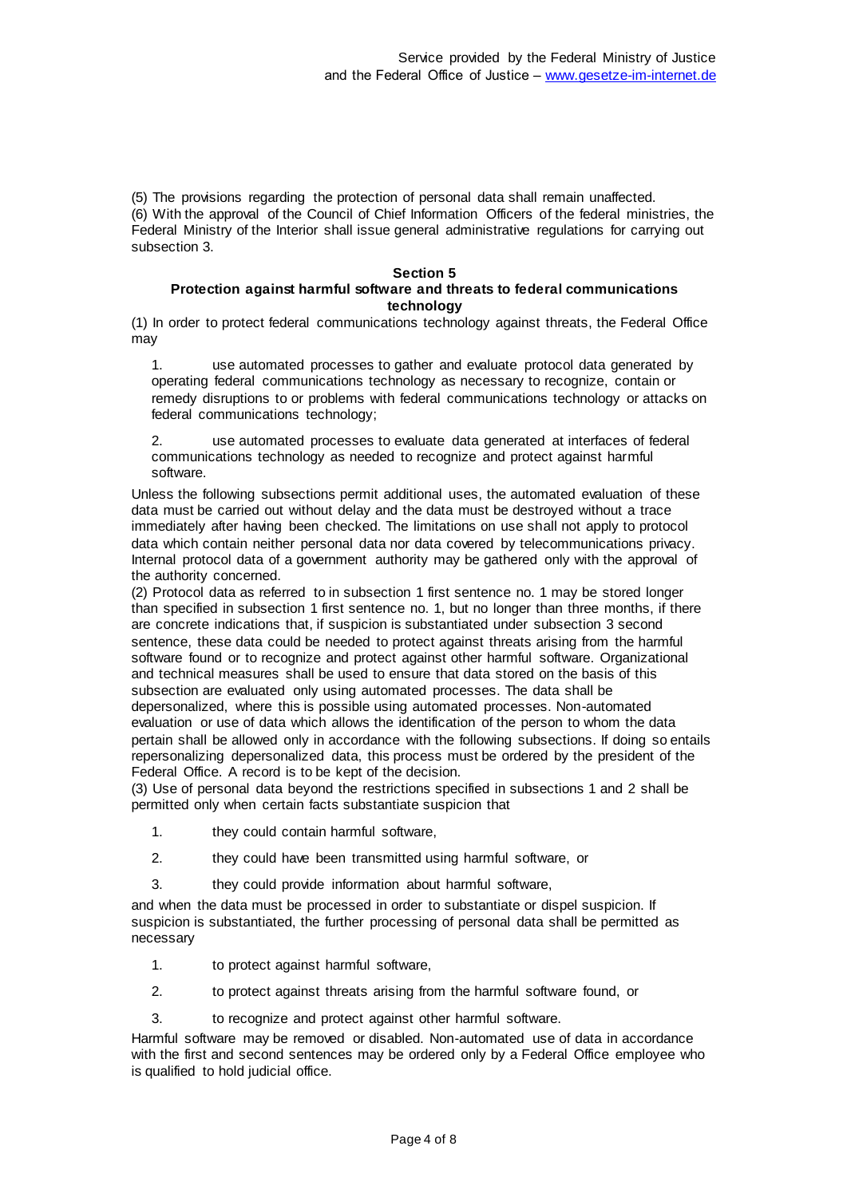(5) The provisions regarding the protection of personal data shall remain unaffected. (6) With the approval of the Council of Chief Information Officers of the federal ministries, the Federal Ministry of the Interior shall issue general administrative regulations for carrying out subsection 3.

# **Section 5**

## **Protection against harmful software and threats to federal communications technology**

(1) In order to protect federal communications technology against threats, the Federal Office may

1. use automated processes to gather and evaluate protocol data generated by operating federal communications technology as necessary to recognize, contain or remedy disruptions to or problems with federal communications technology or attacks on federal communications technology;

2. use automated processes to evaluate data generated at interfaces of federal communications technology as needed to recognize and protect against harmful software.

Unless the following subsections permit additional uses, the automated evaluation of these data must be carried out without delay and the data must be destroyed without a trace immediately after having been checked. The limitations on use shall not apply to protocol data which contain neither personal data nor data covered by telecommunications privacy. Internal protocol data of a government authority may be gathered only with the approval of the authority concerned.

(2) Protocol data as referred to in subsection 1 first sentence no. 1 may be stored longer than specified in subsection 1 first sentence no. 1, but no longer than three months, if there are concrete indications that, if suspicion is substantiated under subsection 3 second sentence, these data could be needed to protect against threats arising from the harmful software found or to recognize and protect against other harmful software. Organizational and technical measures shall be used to ensure that data stored on the basis of this subsection are evaluated only using automated processes. The data shall be depersonalized, where this is possible using automated processes. Non-automated evaluation or use of data which allows the identification of the person to whom the data pertain shall be allowed only in accordance with the following subsections. If doing so entails repersonalizing depersonalized data, this process must be ordered by the president of the Federal Office. A record is to be kept of the decision.

(3) Use of personal data beyond the restrictions specified in subsections 1 and 2 shall be permitted only when certain facts substantiate suspicion that

- 1. they could contain harmful software,
- 2. they could have been transmitted using harmful software, or
- 3. they could provide information about harmful software,

and when the data must be processed in order to substantiate or dispel suspicion. If suspicion is substantiated, the further processing of personal data shall be permitted as necessary

- 1. to protect against harmful software,
- 2. to protect against threats arising from the harmful software found, or
- 3. to recognize and protect against other harmful software.

Harmful software may be removed or disabled. Non-automated use of data in accordance with the first and second sentences may be ordered only by a Federal Office employee who is qualified to hold judicial office.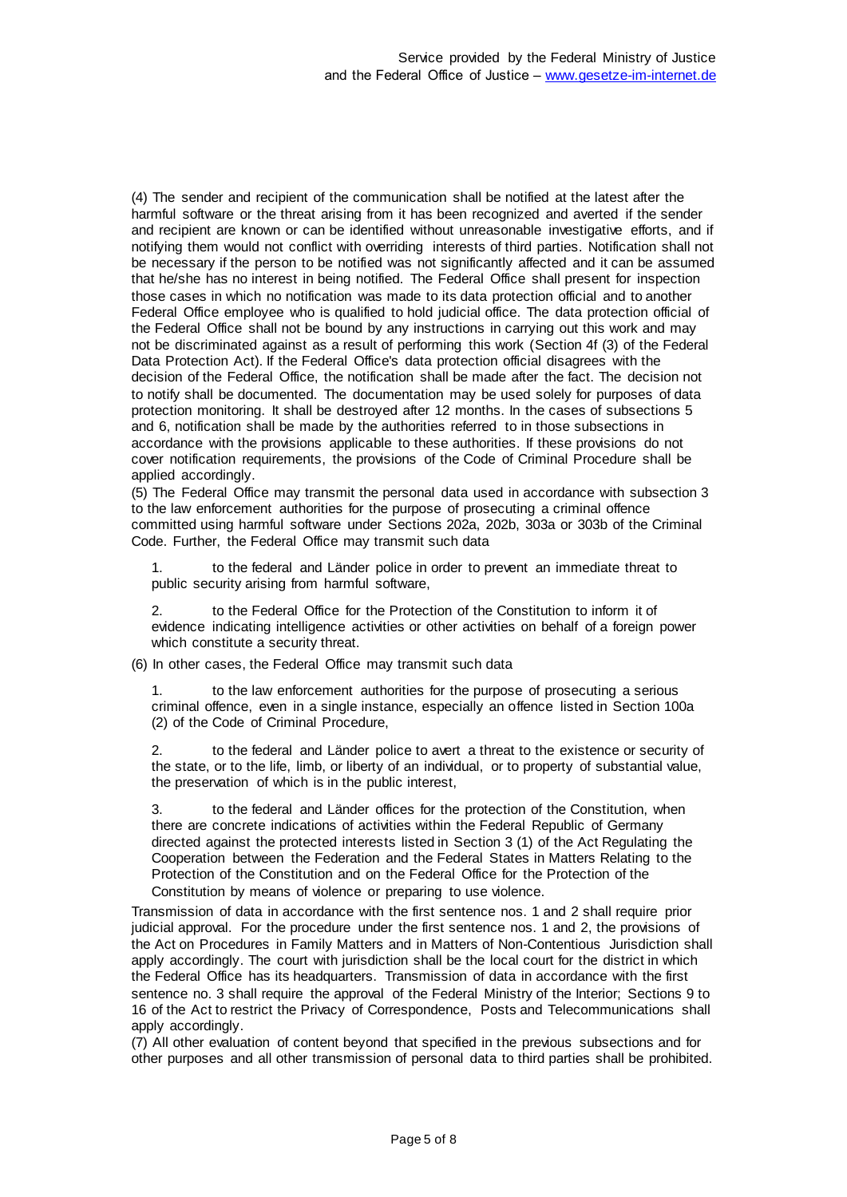(4) The sender and recipient of the communication shall be notified at the latest after the harmful software or the threat arising from it has been recognized and averted if the sender and recipient are known or can be identified without unreasonable investigative efforts, and if notifying them would not conflict with overriding interests of third parties. Notification shall not be necessary if the person to be notified was not significantly affected and it can be assumed that he/she has no interest in being notified. The Federal Office shall present for inspection those cases in which no notification was made to its data protection official and to another Federal Office employee who is qualified to hold judicial office. The data protection official of the Federal Office shall not be bound by any instructions in carrying out this work and may not be discriminated against as a result of performing this work (Section 4f (3) of the Federal Data Protection Act). If the Federal Office's data protection official disagrees with the decision of the Federal Office, the notification shall be made after the fact. The decision not to notify shall be documented. The documentation may be used solely for purposes of data protection monitoring. It shall be destroyed after 12 months. In the cases of subsections 5 and 6, notification shall be made by the authorities referred to in those subsections in accordance with the provisions applicable to these authorities. If these provisions do not cover notification requirements, the provisions of the Code of Criminal Procedure shall be applied accordingly.

(5) The Federal Office may transmit the personal data used in accordance with subsection 3 to the law enforcement authorities for the purpose of prosecuting a criminal offence committed using harmful software under Sections 202a, 202b, 303a or 303b of the Criminal Code. Further, the Federal Office may transmit such data

1. to the federal and Länder police in order to prevent an immediate threat to public security arising from harmful software,

2. to the Federal Office for the Protection of the Constitution to inform it of evidence indicating intelligence activities or other activities on behalf of a foreign power which constitute a security threat.

(6) In other cases, the Federal Office may transmit such data

to the law enforcement authorities for the purpose of prosecuting a serious criminal offence, even in a single instance, especially an offence listed in Section 100a (2) of the Code of Criminal Procedure,

2. to the federal and Länder police to avert a threat to the existence or security of the state, or to the life, limb, or liberty of an individual, or to property of substantial value, the preservation of which is in the public interest,

3. to the federal and Länder offices for the protection of the Constitution, when there are concrete indications of activities within the Federal Republic of Germany directed against the protected interests listed in Section 3 (1) of the Act Regulating the Cooperation between the Federation and the Federal States in Matters Relating to the Protection of the Constitution and on the Federal Office for the Protection of the Constitution by means of violence or preparing to use violence.

Transmission of data in accordance with the first sentence nos. 1 and 2 shall require prior judicial approval. For the procedure under the first sentence nos. 1 and 2, the provisions of the Act on Procedures in Family Matters and in Matters of Non-Contentious Jurisdiction shall apply accordingly. The court with jurisdiction shall be the local court for the district in which the Federal Office has its headquarters. Transmission of data in accordance with the first sentence no. 3 shall require the approval of the Federal Ministry of the Interior; Sections 9 to 16 of the Act to restrict the Privacy of Correspondence, Posts and Telecommunications shall apply accordingly.

(7) All other evaluation of content beyond that specified in the previous subsections and for other purposes and all other transmission of personal data to third parties shall be prohibited.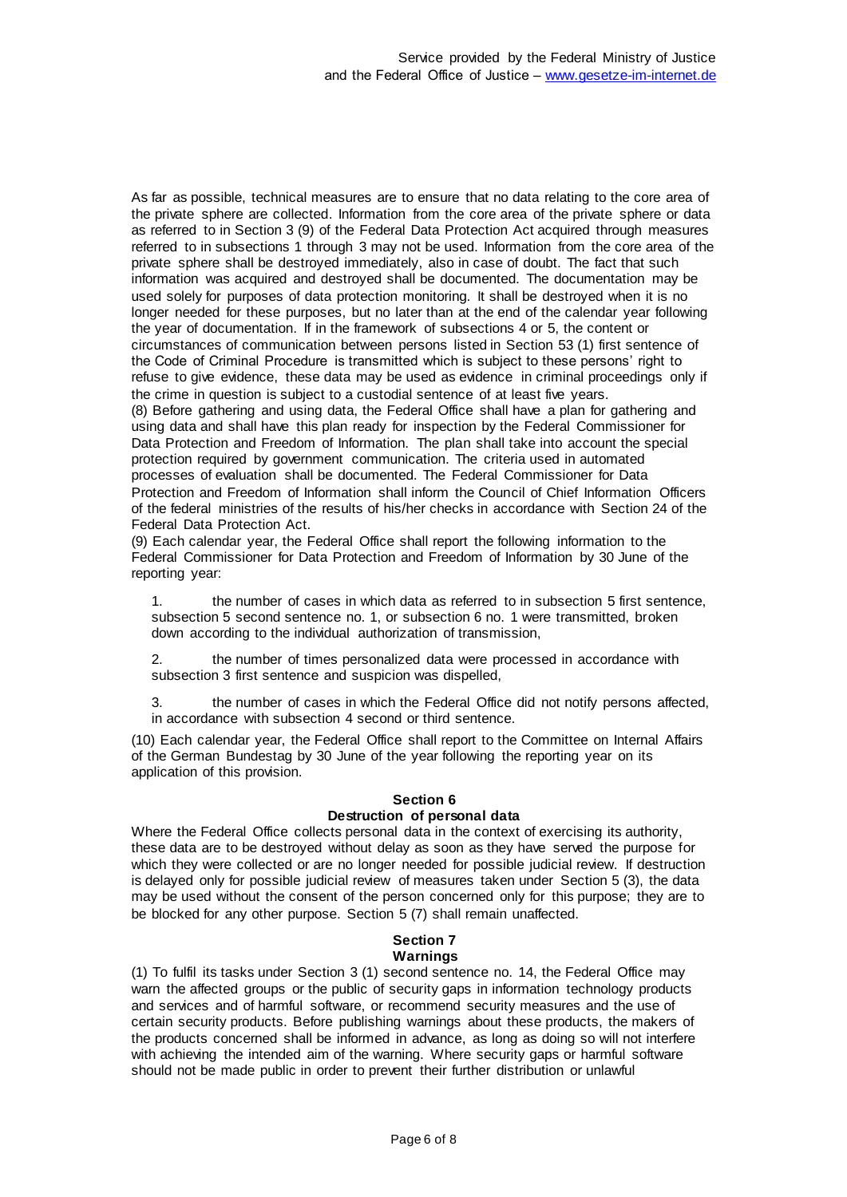As far as possible, technical measures are to ensure that no data relating to the core area of the private sphere are collected. Information from the core area of the private sphere or data as referred to in Section 3 (9) of the Federal Data Protection Act acquired through measures referred to in subsections 1 through 3 may not be used. Information from the core area of the private sphere shall be destroyed immediately, also in case of doubt. The fact that such information was acquired and destroyed shall be documented. The documentation may be used solely for purposes of data protection monitoring. It shall be destroyed when it is no longer needed for these purposes, but no later than at the end of the calendar year following the year of documentation. If in the framework of subsections 4 or 5, the content or circumstances of communication between persons listed in Section 53 (1) first sentence of the Code of Criminal Procedure is transmitted which is subject to these persons' right to refuse to give evidence, these data may be used as evidence in criminal proceedings only if the crime in question is subject to a custodial sentence of at least five years. (8) Before gathering and using data, the Federal Office shall have a plan for gathering and using data and shall have this plan ready for inspection by the Federal Commissioner for Data Protection and Freedom of Information. The plan shall take into account the special protection required by government communication. The criteria used in automated processes of evaluation shall be documented. The Federal Commissioner for Data Protection and Freedom of Information shall inform the Council of Chief Information Officers of the federal ministries of the results of his/her checks in accordance with Section 24 of the

Federal Data Protection Act.

(9) Each calendar year, the Federal Office shall report the following information to the Federal Commissioner for Data Protection and Freedom of Information by 30 June of the reporting year:

1. the number of cases in which data as referred to in subsection 5 first sentence, subsection 5 second sentence no. 1, or subsection 6 no. 1 were transmitted, broken down according to the individual authorization of transmission,

2. the number of times personalized data were processed in accordance with subsection 3 first sentence and suspicion was dispelled,

3. the number of cases in which the Federal Office did not notify persons affected, in accordance with subsection 4 second or third sentence.

(10) Each calendar year, the Federal Office shall report to the Committee on Internal Affairs of the German Bundestag by 30 June of the year following the reporting year on its application of this provision.

## **Section 6**

## **Destruction of personal data**

Where the Federal Office collects personal data in the context of exercising its authority, these data are to be destroyed without delay as soon as they have served the purpose for which they were collected or are no longer needed for possible judicial review. If destruction is delayed only for possible judicial review of measures taken under Section 5 (3), the data may be used without the consent of the person concerned only for this purpose; they are to be blocked for any other purpose. Section 5 (7) shall remain unaffected.

#### **Section 7 Warnings**

(1) To fulfil its tasks under Section 3 (1) second sentence no. 14, the Federal Office may warn the affected groups or the public of security gaps in information technology products and services and of harmful software, or recommend security measures and the use of certain security products. Before publishing warnings about these products, the makers of the products concerned shall be informed in advance, as long as doing so will not interfere with achieving the intended aim of the warning. Where security gaps or harmful software should not be made public in order to prevent their further distribution or unlawful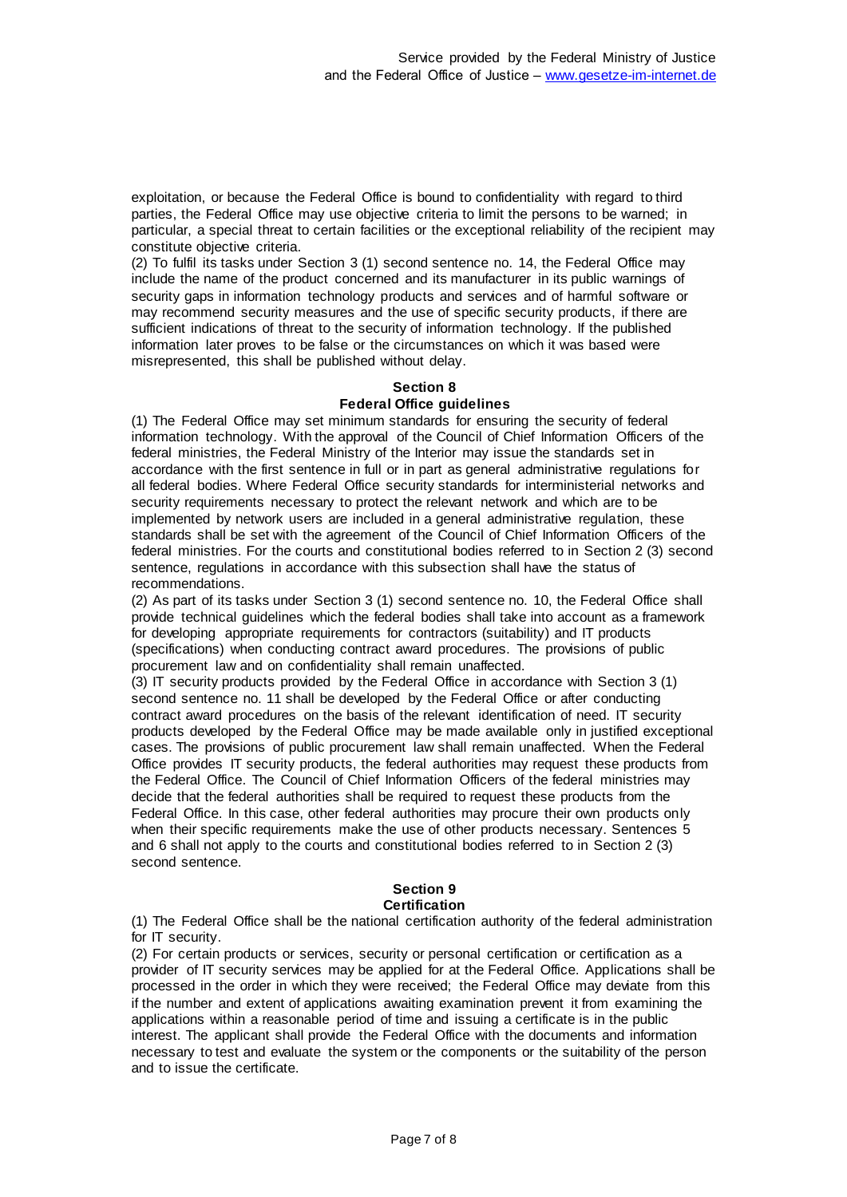exploitation, or because the Federal Office is bound to confidentiality with regard to third parties, the Federal Office may use objective criteria to limit the persons to be warned; in particular, a special threat to certain facilities or the exceptional reliability of the recipient may constitute objective criteria.

(2) To fulfil its tasks under Section 3 (1) second sentence no. 14, the Federal Office may include the name of the product concerned and its manufacturer in its public warnings of security gaps in information technology products and services and of harmful software or may recommend security measures and the use of specific security products, if there are sufficient indications of threat to the security of information technology. If the published information later proves to be false or the circumstances on which it was based were misrepresented, this shall be published without delay.

### **Section 8 Federal Office guidelines**

(1) The Federal Office may set minimum standards for ensuring the security of federal information technology. With the approval of the Council of Chief Information Officers of the federal ministries, the Federal Ministry of the Interior may issue the standards set in accordance with the first sentence in full or in part as general administrative regulations for all federal bodies. Where Federal Office security standards for interministerial networks and security requirements necessary to protect the relevant network and which are to be implemented by network users are included in a general administrative regulation, these standards shall be set with the agreement of the Council of Chief Information Officers of the federal ministries. For the courts and constitutional bodies referred to in Section 2 (3) second sentence, regulations in accordance with this subsection shall have the status of recommendations.

(2) As part of its tasks under Section 3 (1) second sentence no. 10, the Federal Office shall provide technical guidelines which the federal bodies shall take into account as a framework for developing appropriate requirements for contractors (suitability) and IT products (specifications) when conducting contract award procedures. The provisions of public procurement law and on confidentiality shall remain unaffected.

(3) IT security products provided by the Federal Office in accordance with Section 3 (1) second sentence no. 11 shall be developed by the Federal Office or after conducting contract award procedures on the basis of the relevant identification of need. IT security products developed by the Federal Office may be made available only in justified exceptional cases. The provisions of public procurement law shall remain unaffected. When the Federal Office provides IT security products, the federal authorities may request these products from the Federal Office. The Council of Chief Information Officers of the federal ministries may decide that the federal authorities shall be required to request these products from the Federal Office. In this case, other federal authorities may procure their own products only when their specific requirements make the use of other products necessary. Sentences 5 and 6 shall not apply to the courts and constitutional bodies referred to in Section 2 (3) second sentence.

#### **Section 9 Certification**

(1) The Federal Office shall be the national certification authority of the federal administration for IT security.

(2) For certain products or services, security or personal certification or certification as a provider of IT security services may be applied for at the Federal Office. Applications shall be processed in the order in which they were received; the Federal Office may deviate from this if the number and extent of applications awaiting examination prevent it from examining the applications within a reasonable period of time and issuing a certificate is in the public interest. The applicant shall provide the Federal Office with the documents and information necessary to test and evaluate the system or the components or the suitability of the person and to issue the certificate.